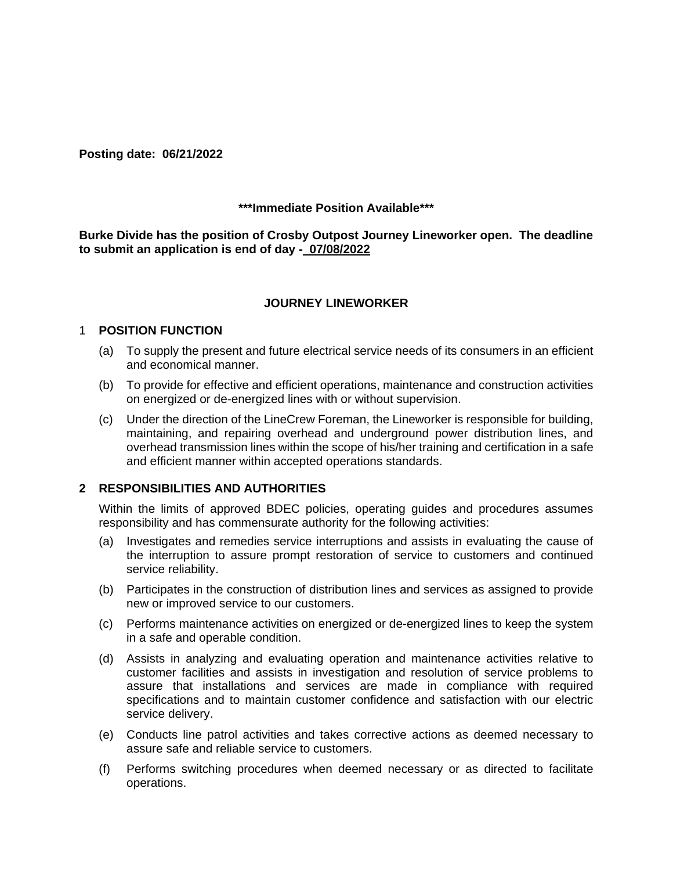**Posting date: 06/21/2022** 

## **\*\*\*Immediate Position Available\*\*\***

**Burke Divide has the position of Crosby Outpost Journey Lineworker open. The deadline to submit an application is end of day - 07/08/2022** 

## **JOURNEY LINEWORKER**

#### 1 **POSITION FUNCTION**

- (a) To supply the present and future electrical service needs of its consumers in an efficient and economical manner.
- (b) To provide for effective and efficient operations, maintenance and construction activities on energized or de-energized lines with or without supervision.
- (c) Under the direction of the LineCrew Foreman, the Lineworker is responsible for building, maintaining, and repairing overhead and underground power distribution lines, and overhead transmission lines within the scope of his/her training and certification in a safe and efficient manner within accepted operations standards.

#### **2 RESPONSIBILITIES AND AUTHORITIES**

Within the limits of approved BDEC policies, operating guides and procedures assumes responsibility and has commensurate authority for the following activities:

- (a) Investigates and remedies service interruptions and assists in evaluating the cause of the interruption to assure prompt restoration of service to customers and continued service reliability.
- (b) Participates in the construction of distribution lines and services as assigned to provide new or improved service to our customers.
- (c) Performs maintenance activities on energized or de-energized lines to keep the system in a safe and operable condition.
- (d) Assists in analyzing and evaluating operation and maintenance activities relative to customer facilities and assists in investigation and resolution of service problems to assure that installations and services are made in compliance with required specifications and to maintain customer confidence and satisfaction with our electric service delivery.
- (e) Conducts line patrol activities and takes corrective actions as deemed necessary to assure safe and reliable service to customers.
- (f) Performs switching procedures when deemed necessary or as directed to facilitate operations.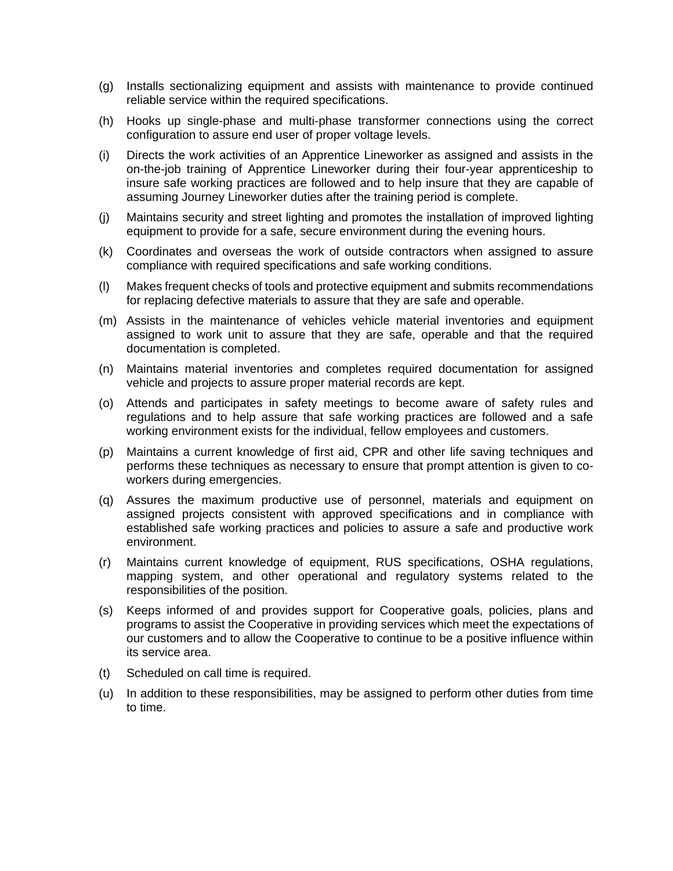- (g) Installs sectionalizing equipment and assists with maintenance to provide continued reliable service within the required specifications.
- (h) Hooks up single-phase and multi-phase transformer connections using the correct configuration to assure end user of proper voltage levels.
- (i) Directs the work activities of an Apprentice Lineworker as assigned and assists in the on-the-job training of Apprentice Lineworker during their four-year apprenticeship to insure safe working practices are followed and to help insure that they are capable of assuming Journey Lineworker duties after the training period is complete.
- (j) Maintains security and street lighting and promotes the installation of improved lighting equipment to provide for a safe, secure environment during the evening hours.
- (k) Coordinates and overseas the work of outside contractors when assigned to assure compliance with required specifications and safe working conditions.
- (l) Makes frequent checks of tools and protective equipment and submits recommendations for replacing defective materials to assure that they are safe and operable.
- (m) Assists in the maintenance of vehicles vehicle material inventories and equipment assigned to work unit to assure that they are safe, operable and that the required documentation is completed.
- (n) Maintains material inventories and completes required documentation for assigned vehicle and projects to assure proper material records are kept.
- (o) Attends and participates in safety meetings to become aware of safety rules and regulations and to help assure that safe working practices are followed and a safe working environment exists for the individual, fellow employees and customers.
- (p) Maintains a current knowledge of first aid, CPR and other life saving techniques and performs these techniques as necessary to ensure that prompt attention is given to coworkers during emergencies.
- (q) Assures the maximum productive use of personnel, materials and equipment on assigned projects consistent with approved specifications and in compliance with established safe working practices and policies to assure a safe and productive work environment.
- (r) Maintains current knowledge of equipment, RUS specifications, OSHA regulations, mapping system, and other operational and regulatory systems related to the responsibilities of the position.
- (s) Keeps informed of and provides support for Cooperative goals, policies, plans and programs to assist the Cooperative in providing services which meet the expectations of our customers and to allow the Cooperative to continue to be a positive influence within its service area.
- (t) Scheduled on call time is required.
- (u) In addition to these responsibilities, may be assigned to perform other duties from time to time.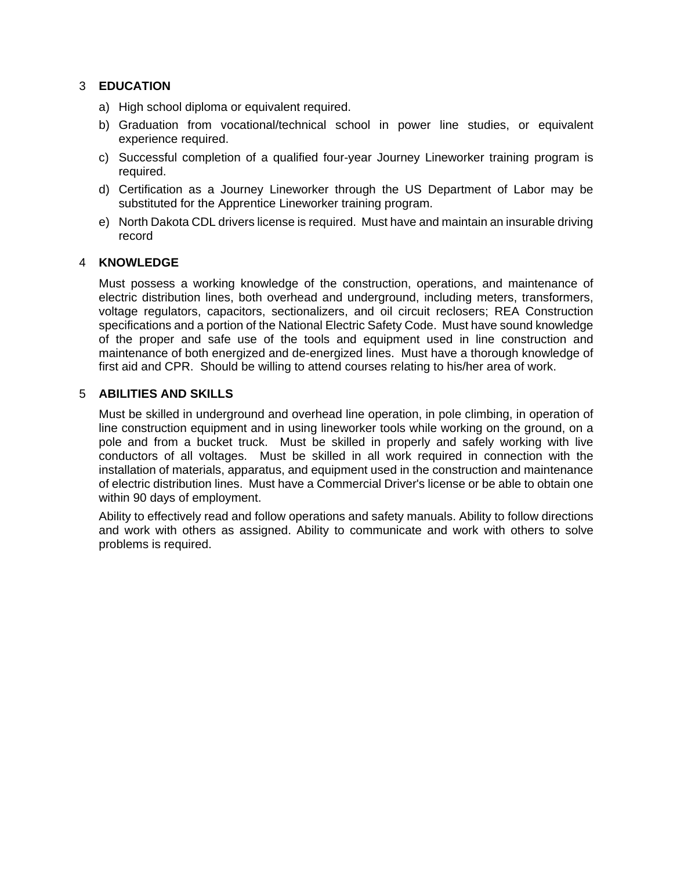# 3 **EDUCATION**

- a) High school diploma or equivalent required.
- b) Graduation from vocational/technical school in power line studies, or equivalent experience required.
- c) Successful completion of a qualified four-year Journey Lineworker training program is required.
- d) Certification as a Journey Lineworker through the US Department of Labor may be substituted for the Apprentice Lineworker training program.
- e) North Dakota CDL drivers license is required. Must have and maintain an insurable driving record

## 4 **KNOWLEDGE**

Must possess a working knowledge of the construction, operations, and maintenance of electric distribution lines, both overhead and underground, including meters, transformers, voltage regulators, capacitors, sectionalizers, and oil circuit reclosers; REA Construction specifications and a portion of the National Electric Safety Code. Must have sound knowledge of the proper and safe use of the tools and equipment used in line construction and maintenance of both energized and de-energized lines. Must have a thorough knowledge of first aid and CPR. Should be willing to attend courses relating to his/her area of work.

## 5 **ABILITIES AND SKILLS**

Must be skilled in underground and overhead line operation, in pole climbing, in operation of line construction equipment and in using lineworker tools while working on the ground, on a pole and from a bucket truck. Must be skilled in properly and safely working with live conductors of all voltages. Must be skilled in all work required in connection with the installation of materials, apparatus, and equipment used in the construction and maintenance of electric distribution lines. Must have a Commercial Driver's license or be able to obtain one within 90 days of employment.

Ability to effectively read and follow operations and safety manuals. Ability to follow directions and work with others as assigned. Ability to communicate and work with others to solve problems is required.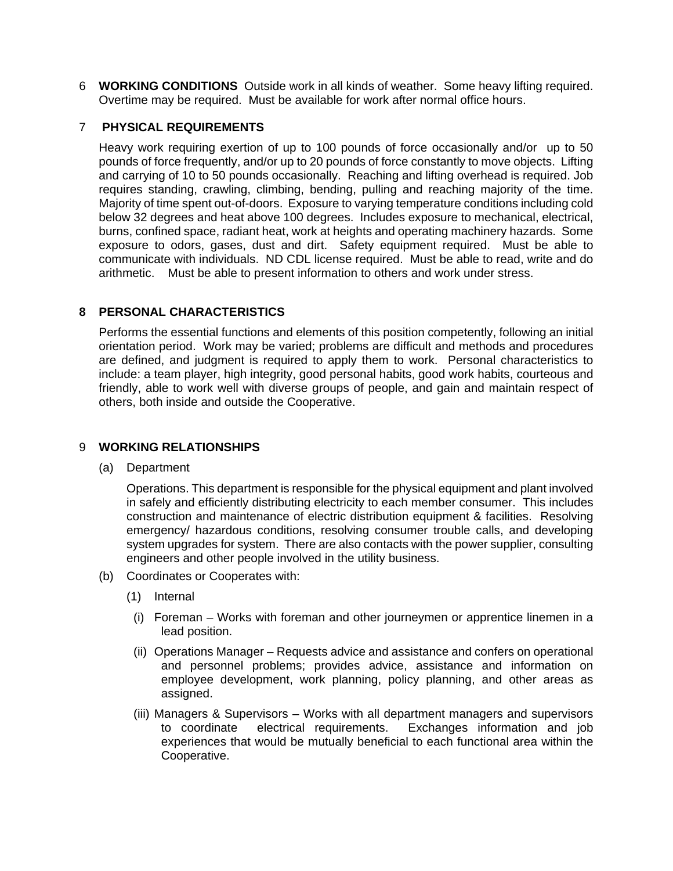6 **WORKING CONDITIONS** Outside work in all kinds of weather. Some heavy lifting required. Overtime may be required. Must be available for work after normal office hours.

# 7 **PHYSICAL REQUIREMENTS**

Heavy work requiring exertion of up to 100 pounds of force occasionally and/or up to 50 pounds of force frequently, and/or up to 20 pounds of force constantly to move objects. Lifting and carrying of 10 to 50 pounds occasionally. Reaching and lifting overhead is required. Job requires standing, crawling, climbing, bending, pulling and reaching majority of the time. Majority of time spent out-of-doors. Exposure to varying temperature conditions including cold below 32 degrees and heat above 100 degrees. Includes exposure to mechanical, electrical, burns, confined space, radiant heat, work at heights and operating machinery hazards. Some exposure to odors, gases, dust and dirt. Safety equipment required. Must be able to communicate with individuals. ND CDL license required. Must be able to read, write and do arithmetic. Must be able to present information to others and work under stress.

# **8 PERSONAL CHARACTERISTICS**

Performs the essential functions and elements of this position competently, following an initial orientation period. Work may be varied; problems are difficult and methods and procedures are defined, and judgment is required to apply them to work. Personal characteristics to include: a team player, high integrity, good personal habits, good work habits, courteous and friendly, able to work well with diverse groups of people, and gain and maintain respect of others, both inside and outside the Cooperative.

#### 9 **WORKING RELATIONSHIPS**

(a) Department

Operations. This department is responsible for the physical equipment and plant involved in safely and efficiently distributing electricity to each member consumer. This includes construction and maintenance of electric distribution equipment & facilities. Resolving emergency/ hazardous conditions, resolving consumer trouble calls, and developing system upgrades for system. There are also contacts with the power supplier, consulting engineers and other people involved in the utility business.

- (b) Coordinates or Cooperates with:
	- (1) Internal
		- (i) Foreman Works with foreman and other journeymen or apprentice linemen in a lead position.
		- (ii) Operations Manager Requests advice and assistance and confers on operational and personnel problems; provides advice, assistance and information on employee development, work planning, policy planning, and other areas as assigned.
		- (iii) Managers & Supervisors Works with all department managers and supervisors to coordinate electrical requirements. Exchanges information and job experiences that would be mutually beneficial to each functional area within the Cooperative.